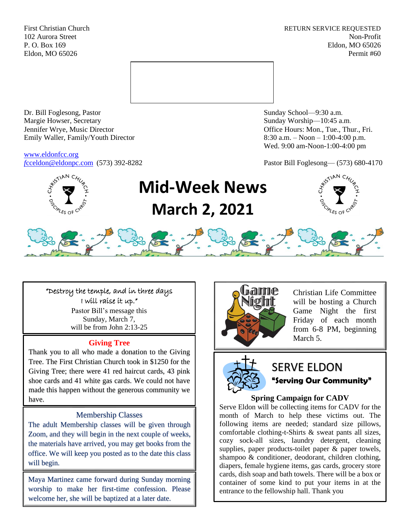First Christian Church **RETURN SERVICE REQUESTED** 102 Aurora Street Non-Profit P. O. Box 169 Eldon, MO 65026 Eldon, MO 65026 Permit #60



Dr. Bill Foglesong, Pastor Sunday School—9:30 a.m. Margie Howser, Secretary Sunday Worship—10:45 a.m. Jennifer Wrye, Music Director Office Hours: Mon., Tue., Thur., Fri. Emily Waller, Family/Youth Director 8:30 a.m. – Noon – 1:00-4:00 p.m.

[www.eldonfcc.org](http://www.eldonfcc.org/)

Wed. 9:00 am-Noon-1:00-4:00 pm

*f*[cceldon@eldonpc.com](mailto:fcceldon@eldonpc.com) (573) 392-8282 Pastor Bill Foglesong— (573) 680-4170



# **Mid-Week News March 2, 2021**





"Destroy the temple, and in three days I will raise it up." Pastor Bill's message this Sunday, March 7, will be from John 2:13-25

#### **Giving Tree**

Thank you to all who made a donation to the Giving Tree. The First Christian Church took in \$1250 for the Giving Tree; there were 41 red haircut cards, 43 pink shoe cards and 41 white gas cards. We could not have made this happen without the generous community we have.

#### Membership Classes

The adult Membership classes will be given through Zoom, and they will begin in the next couple of weeks, the materials have arrived, you may get books from the office. We will keep you posted as to the date this class will begin.

Maya Martinez came forward during Sunday morning worship to make her first-time confession. Please welcome her, she will be baptized at a later date.



Christian Life Committee will be hosting a Church Game Night the first Friday of each month from 6-8 PM, beginning March 5.



## SERVE ELDON **"Serving Our Community"**

#### **Spring Campaign for CADV**

Serve Eldon will be collecting items for CADV for the month of March to help these victims out. The following items are needed; standard size pillows, comfortable clothing-t-Shirts & sweat pants all sizes, cozy sock-all sizes, laundry detergent, cleaning supplies, paper products-toilet paper & paper towels, shampoo & conditioner, deodorant, children clothing, diapers, female hygiene items, gas cards, grocery store cards, dish soap and bath towels. There will be a box or container of some kind to put your items in at the entrance to the fellowship hall. Thank you